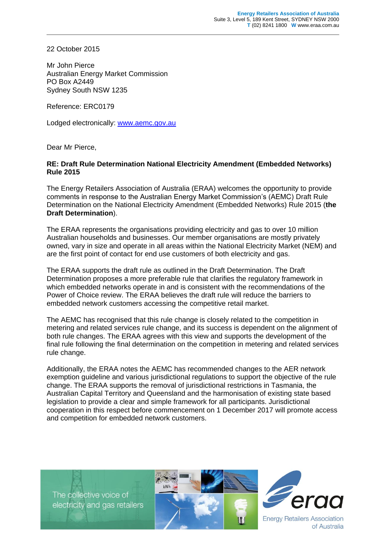22 October 2015

Mr John Pierce Australian Energy Market Commission PO Box A2449 Sydney South NSW 1235

Reference: ERC0179

Lodged electronically: [www.aemc.gov.au](http://www.aemc.gov.au/)

Dear Mr Pierce,

## **RE: Draft Rule Determination National Electricity Amendment (Embedded Networks) Rule 2015**

The Energy Retailers Association of Australia (ERAA) welcomes the opportunity to provide comments in response to the Australian Energy Market Commission's (AEMC) Draft Rule Determination on the National Electricity Amendment (Embedded Networks) Rule 2015 (**the Draft Determination**).

The ERAA represents the organisations providing electricity and gas to over 10 million Australian households and businesses. Our member organisations are mostly privately owned, vary in size and operate in all areas within the National Electricity Market (NEM) and are the first point of contact for end use customers of both electricity and gas.

The ERAA supports the draft rule as outlined in the Draft Determination. The Draft Determination proposes a more preferable rule that clarifies the regulatory framework in which embedded networks operate in and is consistent with the recommendations of the Power of Choice review. The ERAA believes the draft rule will reduce the barriers to embedded network customers accessing the competitive retail market.

The AEMC has recognised that this rule change is closely related to the competition in metering and related services rule change, and its success is dependent on the alignment of both rule changes. The ERAA agrees with this view and supports the development of the final rule following the final determination on the competition in metering and related services rule change.

Additionally, the ERAA notes the AEMC has recommended changes to the AER network exemption guideline and various jurisdictional regulations to support the objective of the rule change. The ERAA supports the removal of jurisdictional restrictions in Tasmania, the Australian Capital Territory and Queensland and the harmonisation of existing state based legislation to provide a clear and simple framework for all participants. Jurisdictional cooperation in this respect before commencement on 1 December 2017 will promote access and competition for embedded network customers.